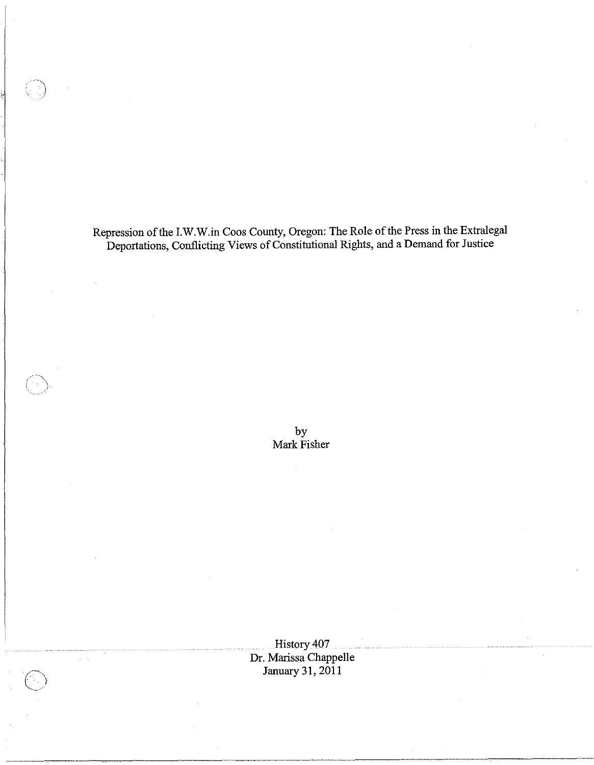Repression ofthe LW.W.in Coos County, Oregon: The Role of the Press in the Extralegal Deportations, Conflicting Views of Constitutional Rights, and a Demand for Justice

~.'

by Mark Fisher

History 407 Dr. Marissa Chappelle January 31,2011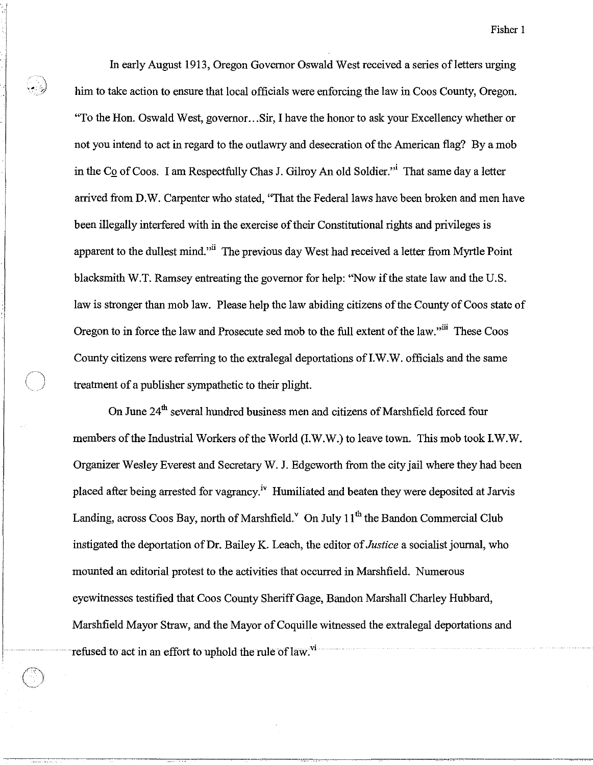In early August 1913, Oregon Governor Oswald West received a series of letters urging him to take action to ensure that local officials were enforcing the law in Coos County, Oregon. "To the Hon. Oswald West, governor. .. Sir, I have the honor to ask your Excellency whether or not you intend to act in regard to the outlawry and desecration of the American flag? By a mob in the Co of Coos. I am Respectfully Chas J. Gilroy An old Soldier."<sup>i</sup> That same day a letter arrived from D.W. Carpenter who stated, "That the Federal laws have been broken and men have been illegally interfered with in the exercise of their Constitutional rights and privileges is apparent to the dullest mind."<sup>ii</sup> The previous day West had received a letter from Myrtle Point blacksmith W.T. Ramsey entreating the governor for help: "Now if the state law and the U.S. law is stronger than mob law. Please help the law abiding citizens of the County of Coos state of Oregon to in force the law and Prosecute sed mob to the full extent of the law."iii These Coos County citizens were referring to the extralegal deportations ofI.W.W. officials and the same treatment of a publisher sympathetic to their plight.

On June 24<sup>th</sup> several hundred business men and citizens of Marshfield forced four members of the Industrial Workers of the World (I.W.W.) to leave town. This mob took I.W.W. Organizer Wesley Everest and Secretary W. J. Edgeworth from the city jail where they had been placed after being arrested for vagrancy.iv Humiliated and beaten they were deposited at Jarvis Landing, across Coos Bay, north of Marshfield.  $\degree$  On July 11<sup>th</sup> the Bandon Commercial Club instigated the deportation of Dr. Bailey K. Leach, the editor of *Justice* a socialist journal, who mounted an editorial protest to the activities that occurred in Marshfield. Numerous eyewitnesses testified that Coos County Sheriff Gage, Bandon Marshall Charley Hubbard, Marshfield Mayor Straw, and the Mayor of Coquille witnessed the extralegal deportations and refused to act in an effort to uphold the rule of law.<sup>vi</sup>

 $\cdot$  . .. ,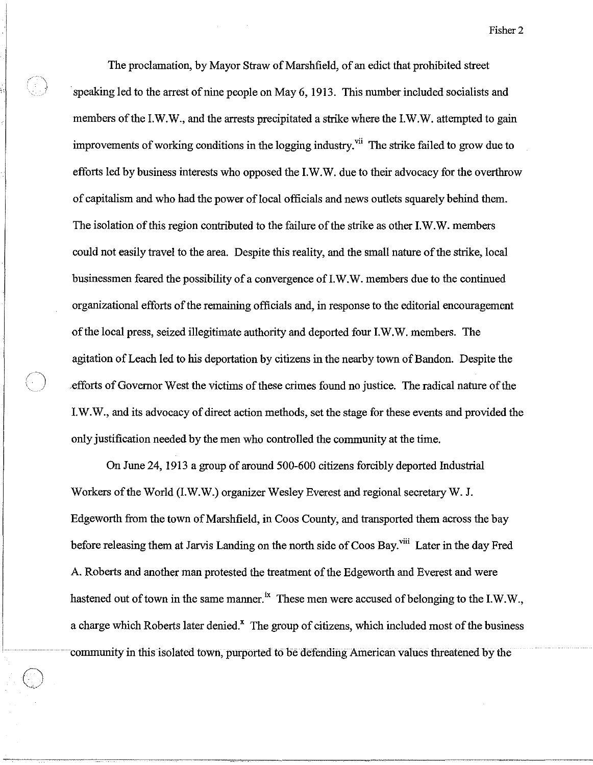The proclamation, by Mayor Straw of Marshfield, of an edict that prohibited street speaking led to the arrest of nine people on May 6, 1913. This number included socialists and members of the 1.W.W., and the arrests precipitated a strike where the 1.W.W. attempted to gain improvements of working conditions in the logging industry.<sup> $vi$ </sup> The strike failed to grow due to efforts led by business interests who opposed the 1.W.W. due to their advocacy for the overthrow of capitalism and who had the power of local officials and news outlets squarely behind them. The isolation of this region contributed to the failure of the strike as other 1.W.W. members could not easily travel to the area. Despite this reality, and the small nature of the strike, local businessmen feared the possibility of a convergence of 1.W.W. members due to the continued organizational efforts of the remaining officials and, in response to the editorial encouragement of the local press, seized illegitimate authority and deported four 1.W.W. members. The agitation of Leach led to his deportation by citizens in the nearby town of Bandon. Despite the /) .efforts of Governor West the victims of these crimes found no justice. The radical nature of the 1. W. W., and its advocacy of direct action methods, set the stage for these events and provided the only justification needed by the men who controlled the community at the time.

Œ.

On June 24, 1913 a group of around 500-600 citizens forcibly deported Industrial Workers of the World (1.W.W.) organizer Wesley Everest and regional secretary W. J. Edgeworth from the town of Marshfield, in Coos County, and transported them across the bay before releasing them at Jarvis Landing on the north side of Coos Bay.<sup>viii</sup> Later in the day Fred A. Roberts and another man protested the treatment of the Edgeworth and Everest and were hastened out of town in the same manner.<sup>ix</sup> These men were accused of belonging to the I.W.W., a charge which Roberts later denied.<sup>x</sup> The group of citizens, which included most of the business community in this isolated town, purported to be defending American values threatened by the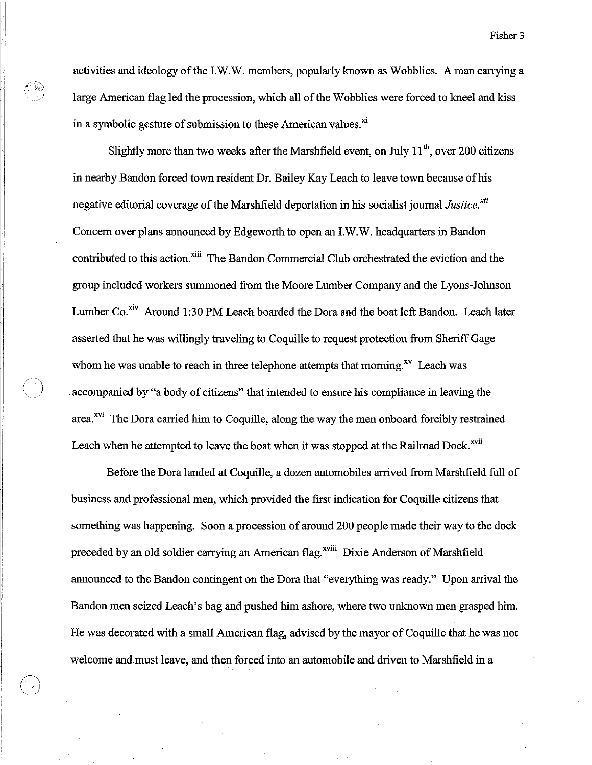activities and ideology of the LW.W. members, popularly known as Wobblies. A man carrying a large American flag led the procession, which all of the Wobblies were forced to kneel and kiss in a symbolic gesture of submission to these American values. $^{\text{xi}}$ 

II,:

Slightly more than two weeks after the Marshfield event, on July  $11<sup>th</sup>$ , over 200 citizens in nearby Bandon forced town resident Dr. Bailey Kay Leach to leave town because of his negative editorial coverage of the Marshfield deportation in his socialist journal *Justice. xii*  Concern over plans announced by Edgeworth to open an LW.W. headquarters in Bandon contributed to this action.<sup>xiii</sup> The Bandon Commercial Club orchestrated the eviction and the group included workers summoned from the Moore Lumber Company and the Lyons-Johnson Lumber Co.<sup>xiv</sup> Around 1:30 PM Leach boarded the Dora and the boat left Bandon. Leach later asserted that he was willingly traveling to Coquille to request protection from Sheriff Gage whom he was unable to reach in three telephone attempts that morning.<sup>xv</sup> Leach was accompanied by "a body of citizens" that intended to ensure his compliance in leaving the area.<sup>xvi</sup> The Dora carried him to Coquille, along the way the men onboard forcibly restrained Leach when he attempted to leave the boat when it was stopped at the Railroad Dock.<sup>xvii</sup>

Before the Dora landed at Coquille, a dozen automobiles arrived from Marshfield full of business and professional men, which provided the first indication for Coquille citizens that something was happening. Soon a procession of around 200 people made their way to the dock preceded by an old soldier carrying an American flag.<sup>xviii</sup> Dixie Anderson of Marshfield announced to the Bandon contingent on the Dora that "everything was ready." Upon arrival the Bandon men seized Leach's bag and pushed him ashore, where two unknown men grasped him. He was decorated with a small American flag, advised by the mayor of Coquille that he was not welcome and must leave, and then forced into an automobile and driven to Marshfield in a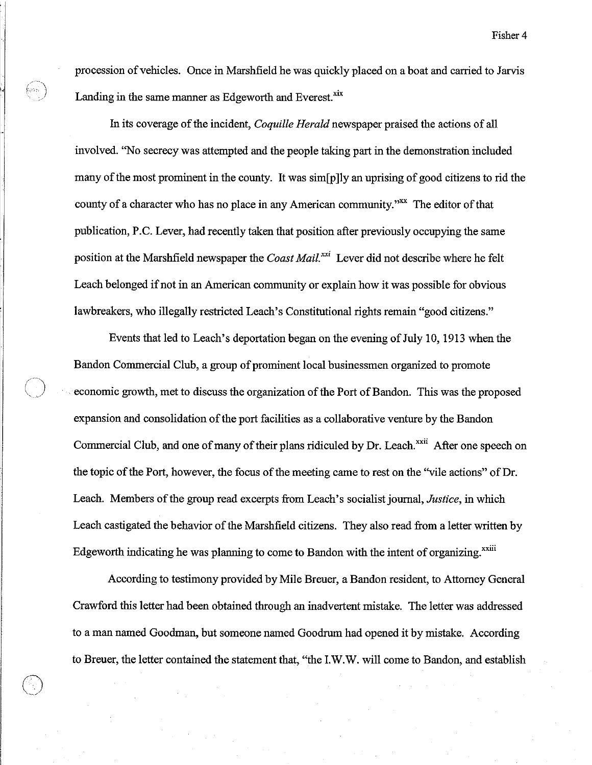procession of vehicles. Once in Marshfield he was quickly placed on a boat and carried to Jarvis Landing in the same manner as Edgeworth and Everest.<sup>xix</sup>

In its coverage of the incident, *Coquille Herald* newspaper praised the actions of all involved. "No secrecy was attempted and the people taking part in the demonstration included many of the most prominent in the county. It was sim[p ]ly an uprising of good citizens to rid the county of a character who has no place in any American community."<sup>xx</sup> The editor of that publication, P.C. Lever, had recently taken that position after previously occupying the same position at the Marshfield newspaper the *Coast Mail. xxi* Lever did not describe where he felt Leach belonged if not in an American community or explain how it was possible for obvious lawbreakers, who illegally restricted Leach's Constitutional rights remain "good citizens."

Events that led to Leach's deportation began on the evening of July 10, 1913 when the Bandon Commercial Club, a group of prominent local businessmen organized to promote economic growth, met to discuss the organization of the Port of Bandon. This was the proposed expansion and consolidation of the port facilities as a collaborative venture by the Bandon Commercial Club, and one of many of their plans ridiculed by Dr. Leach.<sup>xxii</sup> After one speech on the topic of the Port, however, the focus of the meeting came to rest on the "vile actions" of Dr. Leach. Members of the group read excerpts from Leach's socialist journal, *Justice,* in which Leach castigated the behavior of the Marshfield citizens. They also read from a letter written by Edgeworth indicating he was planning to come to Bandon with the intent of organizing.<sup>xxiii</sup>

According to testimony provided by Mile Breuer, a Bandon resident, to Attorney General Crawford this letter had been obtained through an inadvertent mistake. The letter was addressed to a man named Goodman, but someone named Goodrum had opened it by mistake. According to Breuer, the letter contained the statement that, "the LW.W. will come to Bandon, and establish

 $\bigcirc$ 

r<br>Geboort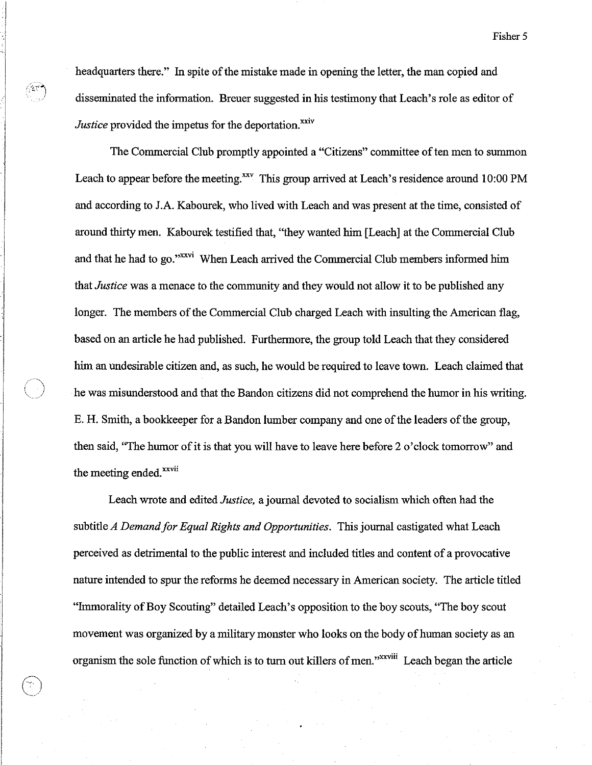headquarters there." In spite of the mistake made in opening the letter, the man copied and disseminated the information. Breuer suggested in his testimony that Leach's role as editor of *Justice* provided the impetus for the deportation.<sup>xxiv</sup>

i  $\overline{\phantom{a}}$ 

*r ... \ ..*~ .. /

The Commercial Club promptly appointed a "Citizens" committee of ten men to summon Leach to appear before the meeting.<sup>xxv</sup> This group arrived at Leach's residence around 10:00 PM and according to J.A. Kabourek, who lived with Leach and was present at the time, consisted of around thirty men. Kabourek testified that, "they wanted him [Leach] at the Commercial Club and that he had to go."<sup>xxvi</sup> When Leach arrived the Commercial Club members informed him that *Justice* was a menace to the community and they would not allow it to be published any longer. The members of the Commercial Club charged Leach with insulting the American flag, based on an article he had published. Furthermore, the group told Leach that they considered him an undesirable citizen and, as such, he would be required to leave town. Leach claimed that he was misunderstood and that the Bandon citizens did not comprehend the humor in his writing. E. H. Smith, a bookkeeper for a Bandon lumber company and one of the leaders of the group, then said, "The humor of it is that you will have to leave here before 2 o'clock tomorrow" and the meeting ended.<sup>xxvii</sup>

Leach wrote and edited *Justice,* a journal devoted to socialism which often had the subtitle *A Demand for Equal Rights and Opportunities.* This journal castigated what Leach perceived as detrimental to the public interest and included titles and content of a provocative nature intended to spur the reforms he deemed necessary in American society. The article titled "Immorality of Boy Scouting" detailed Leach's opposition to the boy scouts, ''The boy scout movement was organized by a military monster who looks on the body of human society as an organism the sole function of which is to turn out killers of men."<sup>XXVIII</sup> Leach began the article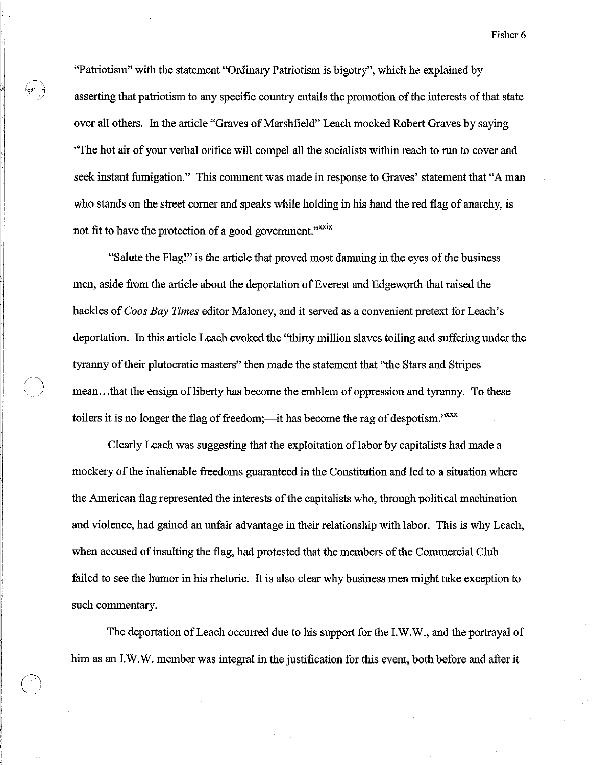"Patriotism" with the statement "Ordinary Patriotism is bigotry", which he explained by asserting that patriotism to any specific country entails the promotion of the interests of that state over all others. In the article "Graves of Marshfield" Leach mocked Robert Graves by saying ''The hot air of your verbal orifice will compel all the socialists within reach to run to cover and seek instant fumigation." This comment was made in response to Graves' statement that "A man who stands on the street corner and speaks while holding in his hand the red flag of anarchy, is not fit to have the protection of a good government."<sup>xxxix</sup>

"Salute the Flag!" is the article that proved most damning in the eyes of the business men, aside from the article about the deportation of Everest and Edgeworth that raised the hackles of *Coos Bay Times* editor Maloney, and it served as a convenient pretext for Leach's deportation. **In** this article Leach evoked the "thirty million slaves toiling and suffering under the tyranny of their plutocratic masters" then made the statement that "the Stars and Stripes mean ... that the ensign of liberty has become the emblem of oppression and tyranny. To these toilers it is no longer the flag of freedom;—it has become the rag of despotism." $xxx$ 

Clearly Leach was suggesting that the exploitation of labor by capitalists had made a mockery of the inalienable freedoms guaranteed in the Constitution and led to a situation where the American flag represented the interests of the capitalists who, through political machination and violence, had gained an unfair advantage in their relationship with labor. This is why Leach, when accused of insulting the flag, had protested that the members of the Commercial Club failed to see the humor in his rhetoric. It is also clear why business men might take exception to such commentary.

The deportation of Leach occurred due to his support for the I.W.W., and the portrayal of him as an I.W.W. member was integral in the justification for this event, both before and after it

 $\bigcirc$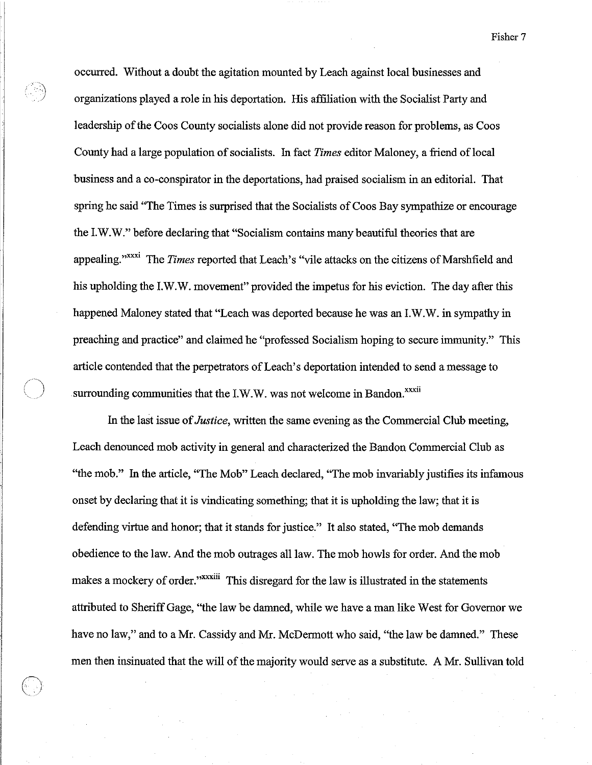occurred. Without a doubt the agitation mounted by Leach against local businesses and organizations played a role in his deportation. His affiliation with the Socialist Party and leadership of the Coos County socialists alone did not provide reason for problems, as Coos County had a large population of socialists. In fact *Times* editor Maloney, a friend of local business and a co-conspirator in the deportations, had praised socialism in an editorial. That spring he said ''The Times is surprised that the Socialists of Coos Bay sympathize or encourage the LW.W." before declaring that "Socialism contains many beautiful theories that are appealing."xxxi The *Times* reported that Leach's "vile attacks on the citizens of Marshfield and his upholding the LW.W. movement" provided the impetus for his eviction. The day after this happened Maloney stated that "Leach was deported because he was an LW.W. in sympathy in preaching and practice" and claimed he "professed Socialism hoping to secure immunity." This article contended that the perpetrators of Leach's deportation intended to send a message to surrounding communities that the I.W.W. was not welcome in Bandon.<sup>xxxii</sup>

In the last issue of *Justice,* written the same evening as the Commercial Club meeting, Leach denounced mob activity in general and characterized the Bandon Commercial Club as "the mob." In the article, ''The Mob" Leach declared, ''The mob invariably justifies its infamous onset by declaring that it is vindicating something; that it is upholding the law; that it is defending virtue and honor; that it stands for justice." It also stated, "The mob demands obedience to the law. And the mob outrages all law. The mob howls for order. And the mob makes a mockery of order."<sup>xxxiii</sup> This disregard for the law is illustrated in the statements attributed to Sheriff Gage, "the law be damned, while we have a man like West for Governor we have no law," and to a Mr. Cassidy and Mr. McDermott who said, "the law be damned." These men then insinuated that the will of the majority would serve as a substitute. A Mr. Sullivan told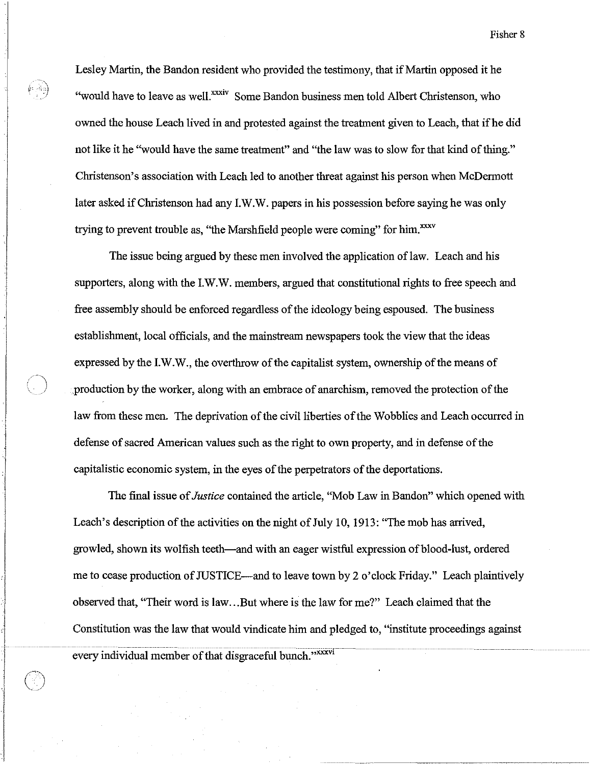Lesley Martin, the Bandon resident who provided the testimony, that if Martin opposed it he "would have to leave as well." Some Bandon business men told Albert Christenson, who owned the house Leach lived in and protested against the treatment given to Leach, that ifhe did not like it he "would have the same treatment" and "the law was to slow for that kind of thing." Christenson's association with Leach led to another threat against his person when McDermott later asked if Christenson had any LW.W. papers in his possession before saying he was only trying to prevent trouble as, "the Marshfield people were coming" for him.<sup>xxxv</sup>

The issue being argued by these men involved the application of law. Leach and his supporters, along with the LW.W. members, argued that constitutional rights to free speech and free assembly should be enforced regardless of the ideology being espoused. The business establishment, local officials, and the mainstream newspapers took the view that the ideas expressed by the LW.W., the overthrow of the capitalist system, ownership of the means of production by the worker, along with an embrace of anarchism, removed the protection of the law from these men. The deprivation of the civil liberties of the Wobblies and Leach occurred in defense of sacred American values such as the right to own property, and in defense of the capitalistic economic system, in the eyes of the perpetrators of the deportations.

The final issue of *Justice* contained the article, "Mob Law in Bandon" which opened with Leach's description of the activities on the night of July 10, 1913: "The mob has arrived, growled, shown its wolfish teeth-and with an eager wistful expression of blood-lust, ordered me to cease production of JUSTICE-and to leave town by 2 o'clock Friday." Leach plaintively observed that, "Their word is law ... But where is the law for me?" Leach claimed that the Constitution was the law that would vindicate him and pledged to, "institute proceedings against every individual member of that disgraceful bunch."<sup>xxxvi</sup>

 $\begin{array}{|c|c|c|c|c|}\hline \text{\quad} & \text{\quad} & \text{\quad} & \text{\quad} \end{array}$ 

I )<br>|<br>|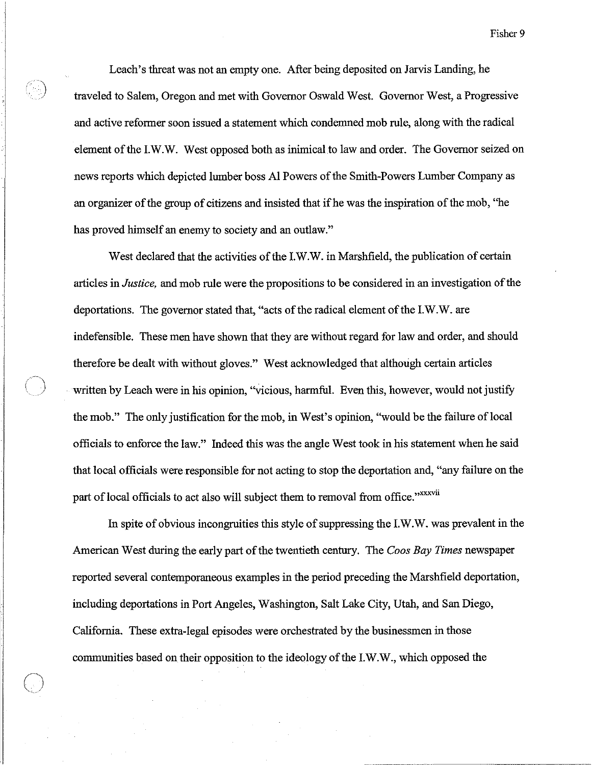Leach's threat was not an empty one. After being deposited on Jarvis Landing, he traveled to Salem, Oregon and met with Governor Oswald West. Governor West, a Progressive and active reformer soon issued a statement which condemned mob rule, along with the radical element of the I.W.W. West opposed both as inimical to law and order. The Governor seized on news reports which depicted lumber boss Al Powers of the Smith-Powers Lumber Company as an organizer of the group of citizens and insisted that ifhe was the inspiration of the mob, ''he has proved himself an enemy to society and an outlaw."

West declared that the activities of the I.W.W. in Marshfield, the publication of certain articles in *Justice,* and mob rule were the propositions to be considered in an investigation of the deportations. The governor stated that, "acts of the radical element of the I.W.W. are indefensible. These men have shown that they are without regard for law and order, and should therefore be dealt with without gloves." West acknowledged that although certain articles written by Leach were in his opinion, "vicious, harmful. Even this, however, would not justify the mob." The only justification for the mob, in West's opinion, "would be the failure of local officials to enforce the law." Indeed this was the angle West took in his statement when he said that local officials were responsible for not acting to stop the deportation and, "any failure on the part of local officials to act also will subject them to removal from office." XXXVII

In spite of obvious incongruities this style of suppressing the I.W.W. was prevalent in the American West during the early part of the twentieth century. The *Coos Bay Times* newspaper reported several contemporaneous examples in the period preceding the Marshfield deportation, including deportations in Port Angeles, Washington, Salt Lake City, Utah, and San Diego, California. These extra-legal episodes were orchestrated by the businessmen in those communities based on their opposition to the ideology of the I.W.W., which opposed the

C)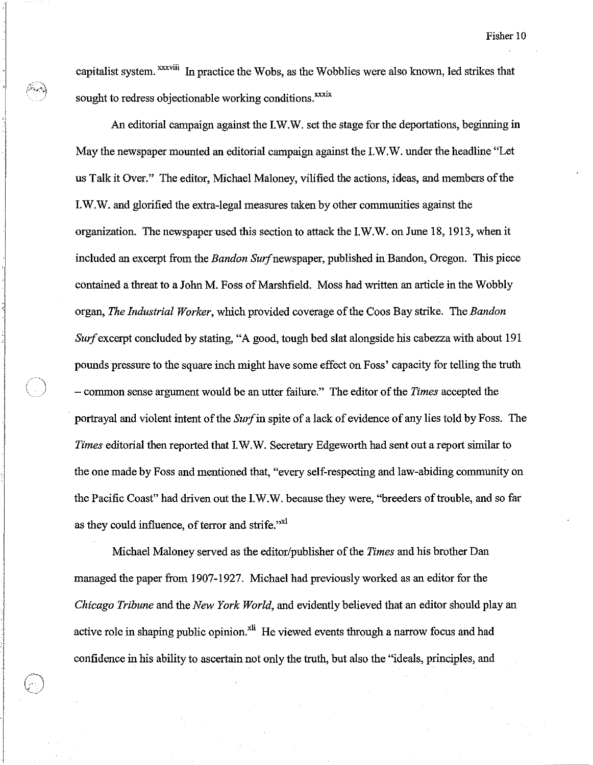capitalist system. <sup>xxxviii</sup> In practice the Wobs, as the Wobblies were also known, led strikes that sought to redress objectionable working conditions.<sup>xxxix</sup>

An editorial campaign against the I.W.W. set the stage for the deportations, beginning in May the newspaper mounted an editorial campaign against the I.W.W. under the headline "Let us Talk it Over." The editor, Michael Maloney, vilified the actions, ideas, and members of the I.W.W. and glorified the extra-legal measures taken by other commnnities against the organization. The newspaper used this section to attack the I.W.W. on June 18, 1913, when it included an excerpt from the *Bandon Surf* newspaper, published in Bandon, Oregon. This piece contained a threat to a John M. Foss of Marshfield. Moss had written an article in the Wobbly organ, *The Industrial Worker,* which provided coverage of the Coos Bay strike. The *Bandon Sur/excerpt* concluded by stating, "A good, tough bed slat alongside his cabezza with about 191 pounds pressure to the square inch might have some effect on Foss' capacity for telling the truth \.) - common sense argument would be an utter failure." The editor of the *Times* accepted the portrayal and violent intent of the *Sur/in* spite of a lack of evidence of any lies told by Foss. The *Times* editorial then reported that I. W. W. Secretary Edgeworth had sent out a report similar to the one made by Foss and mentioned that, "every self-respecting and law-abiding community on the Pacific Coast" had driven out the I.W.W. because they were, "breeders of trouble, and so far as they could influence, of terror and strife."<sup>xl</sup>

Michael Maloney served as the editor/publisher of the *Times* and his brother Dan managed the paper from 1907-1927. Michael had previously worked as an editor for the *Chicago Tribune* and the *New York World,* and evidently believed that an editor should play an active role in shaping public opinion.<sup>xli</sup> He viewed events through a narrow focus and had confidence in his ability to ascertain not only the truth, but also the "ideals, principles, and

 $\vert$ I  $\bigodot$ 

 $\bigcirc$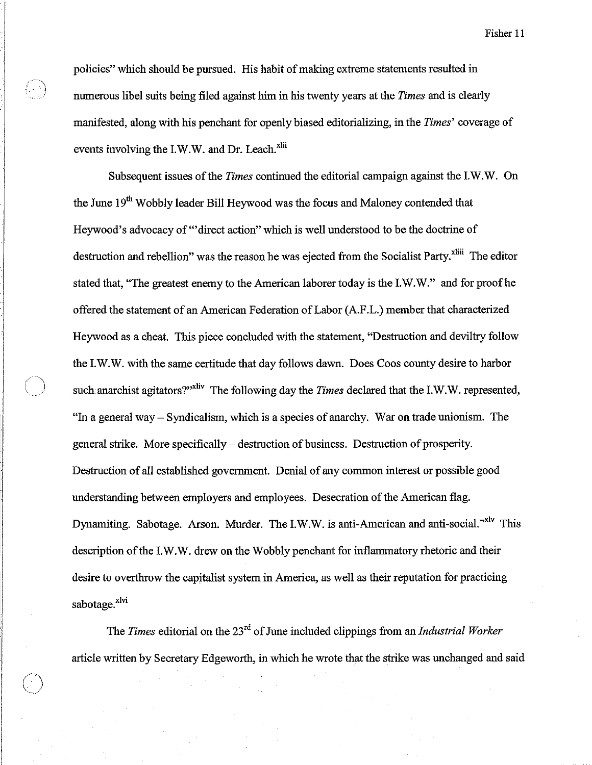policies" which should be pursued. His habit of making extreme statements resulted in numerous libel suits being filed against him in his twenty years at the *Times* and is clearly mauifested, along with his penchant for openly biased editorializing, in the *Times'* coverage of events involving the I.W.W. and Dr. Leach.<sup>xlii</sup>

.1

Subsequent issues of the *Times* continued the editorial campaign against the I.W.W. On the June 19<sup>th</sup> Wobbly leader Bill Heywood was the focus and Maloney contended that Heywood's advocacy of "'direct action" which is well understood to be the doctrine of destruction and rebellion" was the reason he was ejected from the Socialist Party.<sup>xliii</sup> The editor stated that, ''The greatest enemy to the American laborer today is the I.W.W." and for proof he offered the statement of an American Federation of Labor (A.F.L.) member that characterized Heywood as a cheat. This piece concluded with the statement, "Destruction and deviltry follow the I.W.W. with the same certitude that day follows dawn. Does Coos county desire to harbor such anarchist agitators?"<sup>xliv</sup> The following day the *Times* declared that the I.W.W. represented, "In a general way – Syndicalism, which is a species of anarchy. War on trade unionism. The general strike. More specifically - destruction of business. Destruction of prosperity. Destruction of all established government. Denial of any common interest or possible good understanding between employers and employees. Desecration of the American flag. Dynamiting. Sabotage. Arson. Murder. The I.W.W. is anti-American and anti-social."<sup>xlv</sup> This description of the I.W. W. drew on the Wobbly penchant for inflammatory rhetoric and their desire to overthrow the capitalist system in America, as well as their reputation for practicing sabotage.<sup>xlvi</sup>

The *Times* editorial on the 23rd of June included clippings from an *Industrial Worker*  article written by Secretary Edgeworth, in which he wrote that the strike was unchanged and said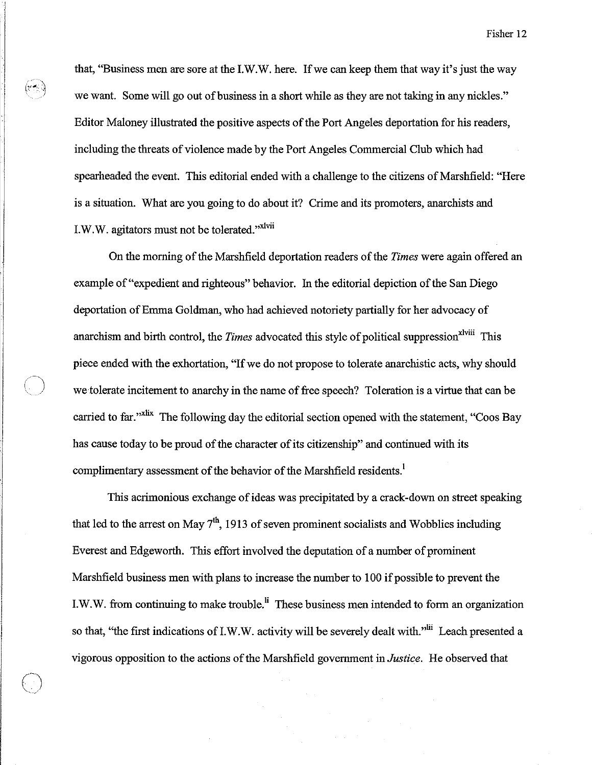that, "Business men are sore at the I.W.W. here. If we can keep them that way it's just the way we want. Some will go out of business in a short while as they are not taking in any nickles." Editor Maloney illustrated the positive aspects of the Port Angeles deportation for his readers, including the threats of violence made by the Port Angeles Commercial Club which had spearheaded the event. This editorial ended with a challenge to the citizens of Marshfield: "Here is a situation. What are you going to do about it? Crime and its promoters, anarchists and I.W.W. agitators must not be tolerated."xlvii

I 1

> On the morning of the Marshfield deportation readers of the *Times* were again offered an example of "expedient and righteous" behavior. In the editorial depiction of the San Diego deportation of Emma Goldman, who had achieved notoriety partially for her advocacy of anarchism and birth control, the *Times* advocated this style of political suppression<sup>xlviii</sup> This piece ended with the exhortation, "If we do not propose to tolerate anarchistic acts, why should we tolerate incitement to anarchy in the name of free speech? Toleration is a virtue that can be carried to far."<sup>xlix</sup> The following day the editorial section opened with the statement, "Coos Bay has cause today to be proud of the character of its citizenship" and continued with its complimentary assessment of the behavior of the Marshfield residents.<sup>1</sup>

> This acrimonious exchange of ideas was precipitated by a crack-down on street speaking that led to the arrest on May  $7<sup>th</sup>$ , 1913 of seven prominent socialists and Wobblies including Everest and Edgeworth. This effort involved the deputation of a number of prominent Marshfield business men with plans to increase the number to 100 if possible to prevent the I.W.W. from continuing to make trouble.<sup>li</sup> These business men intended to form an organization so that, "the first indications of I.W.W. activity will be severely dealt with."<sup>lii</sup> Leach presented a vigorous opposition to the actions of the Marshfield government in *Justice.* He observed that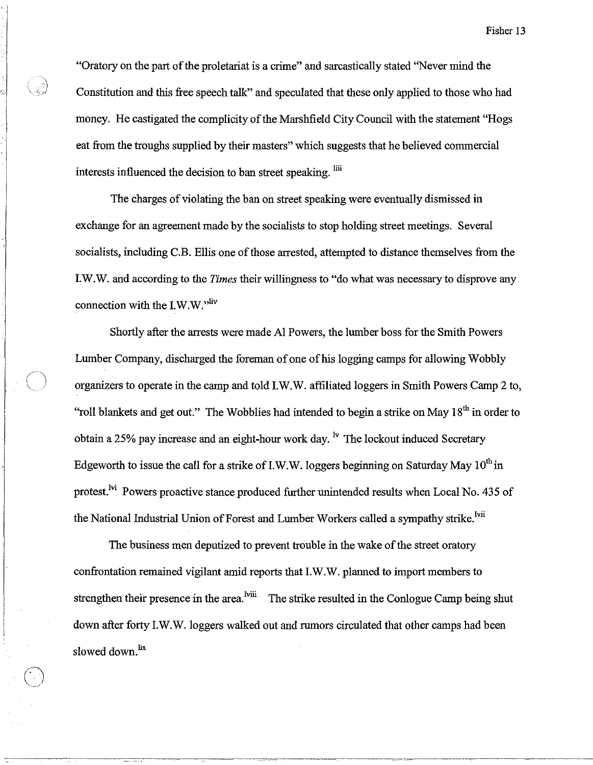"Oratory on the part of the proletariat is a crime" and sarcastically stated "Never mind the Constitution and this free speech talk" and speculated that these only applied to those who had money. He castigated the complicity of the Marshfield City Council with the statement "Hogs" eat from the troughs supplied by their masters" which suggests that he believed commercial interests influenced the decision to ban street speaking.  $\lim_{n \to \infty}$ 

The charges of violating the ban on street speaking were eventually dismissed in exchange for an agreement made by the socialists to stop holding street meetings. Several socialists, including C.B. Ellis one of those arrested, attempted to distance themselves from the I.W.W. and according to the *Times* their willingness to "do what was necessary to disprove any connection with the I.W.W."liv

Shortly after the arrests were made Al Powers, the lumber boss for the Smith Powers Lumber Company, discharged the foreman of one of his logging camps for allowing Wobbly organizers to operate in the camp and told I.W.W. affiliated loggers in Smith Powers Camp 2 to, "roll blankets and get out." The Wobblies had intended to begin a strike on May  $18<sup>th</sup>$  in order to obtain a 25% pay increase and an eight-hour work day. <sup>Iv</sup> The lockout induced Secretary Edgeworth to issue the call for a strike of I.W.W. loggers beginning on Saturday May  $10^{th}$  in protest.<sup>Ivi</sup> Powers proactive stance produced further unintended results when Local No. 435 of the National Industrial Union of Forest and Lumber Workers called a sympathy strike.<sup>Ivii</sup>

The business men deputized to prevent trouble in the wake of the street oratory confrontation remained vigilant amid reports that I.W.W. planned to import members to strengthen their presence in the area.<sup>lviii</sup> The strike resulted in the Conlogue Camp being shut down after forty I.W.W. loggers walked out and rumors circulated that other camps had been slowed down.<sup>lix</sup>

 $\bigodot$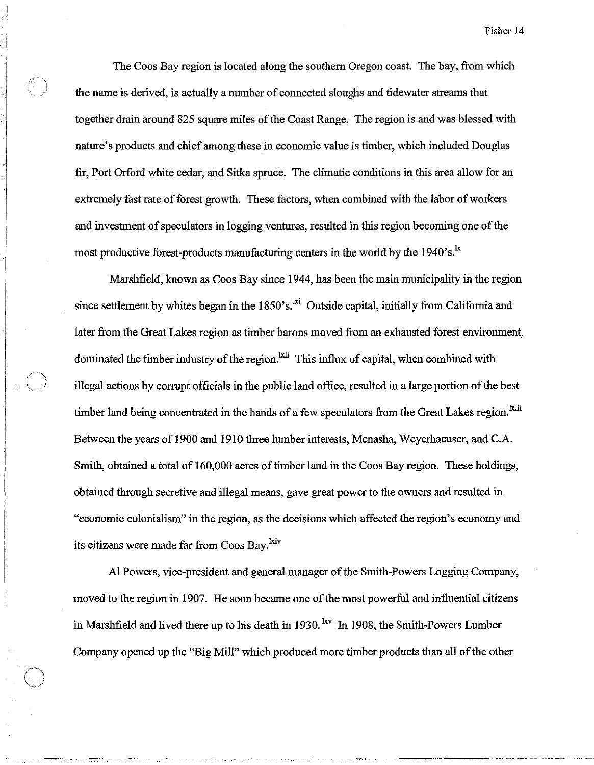The Coos Bay region is located along the southern Oregon coast. The bay, from which the name is derived, is actually a number of connected sloughs and tidewater streams that together drain around 825 square miles of the Coast Range. The region is and was blessed with nature's products and chief among these in economic value is timber, which included Douglas fir, Port Orford white cedar, and Sitka spruce. The climatic conditions in this area allow for an extremely fast rate of forest growth. These factors, when combined with the labor of workers and investment of speculators in logging ventures, resulted in this region becoming one of the most productive forest-products manufacturing centers in the world by the 1940's.<sup>1x</sup>

Marshfield, known as Coos Bay since 1944, has been the main municipality in the region since settlement by whites began in the  $1850$ 's.<sup>1xi</sup> Outside capital, initially from California and later from the Great Lakes region as timber barons moved from an exhausted forest environment, dominated the timber industry of the region.<sup>kii</sup> This influx of capital, when combined with illegal actions by corrupt officials in the public land office, resulted in a large portion of the best timber land being concentrated in the hands of a few speculators from the Great Lakes region.<sup>kili</sup> Between the years of 1900 and 1910 three lumber interests, Menasha, Weyerhaeuser, and C.A. Smith, obtained a total of 160,000 acres of timber land in the Coos Bay region. These holdings, obtained through secretive and illegal means, gave great power to the owners and resulted in "economic colonialism" in the region, as the decisions which affected the region's economy and its citizens were made far from Coos Bay.<sup>kiv</sup>

Al Powers, vice-president and general manager of the Smith-Powers Logging Company, moved to the region in 1907. He soon became one of the most powerful and influential citizens in Marshfield and lived there up to his death in 1930. <sup>Ixv</sup> In 1908, the Smith-Powers Lumber Company opened up the "Big Mill" which produced more timber products than all of the other

 $\bigodot$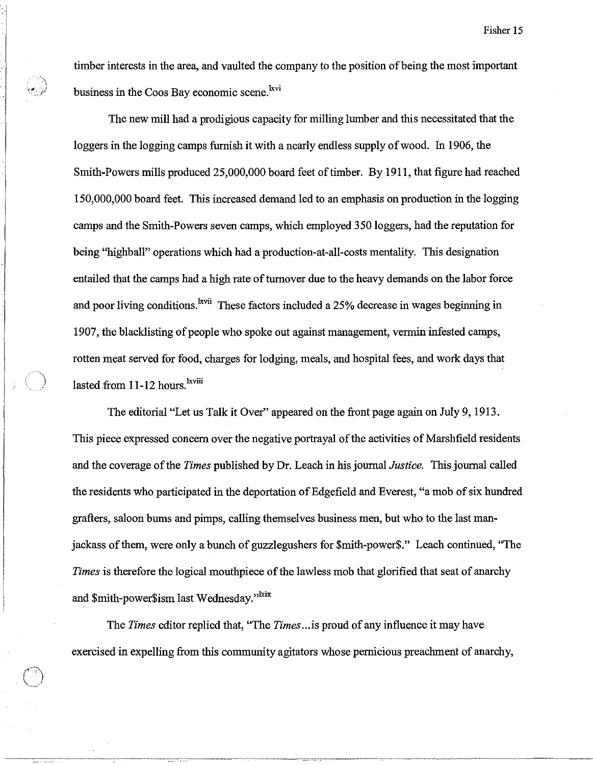timber interests in the area, and vaulted the company to the position of being the most important business in the Coos Bay economic scene.<sup>kvi</sup>

.... ,

 $\bigcirc$ 

The new mill had a prodigious capacity for milling lumber and this necessitated that the loggers in the logging camps furnish it with a nearly endless supply of wood. In 1906, the Smith-Powers mills produced 25,000,000 board feet of timber. By **1911,** that figure had reached 150,000,000 board feet. This increased demand led to an emphasis on production in the logging camps and the Smith-Powers seven camps, which employed 350 loggers, had the reputation for being "highball" operations which had a production-at-all-costs mentality. This designation entailed that the camps had a high rate of turnover due to the heavy demands on the labor force and poor living conditions.<sup>1xvii</sup> These factors included a 25% decrease in wages beginning in 1907, the blacklisting of people who spoke out against management, vermin infested camps, rotten meat served for food, charges for lodging, meals, and hospital fees, and work days that lasted from 11-12 hours.<sup>lxviii</sup>

The editorial "Let us Talk it Over" appeared on the front page again on July 9,1913. This piece expressed concern over the negative portrayal of the activities of Marshfield residents and the coverage of the *Times* published by Dr. Leach in his journal *Justice.* This journal called the residents who participated in the deportation of Edgefield and Everest, "a mob of six hundred grafters, saloon bums and pimps, calling themselves business men, but who to the last manjackass of them, were only a bunch of guzzlegushers for \$mith-power\$." Leach continued, "The *Times* is therefore the logical mouthpiece of the lawless mob that glorified that seat of anarchy and \$mith-power\$ism last Wednesday."<sup>kix</sup>

The *Times* editor replied that, ''The *Times .*. .is proud of any influence it may have exercised in expelling from this community agitators whose pernicious preachment of anarchy,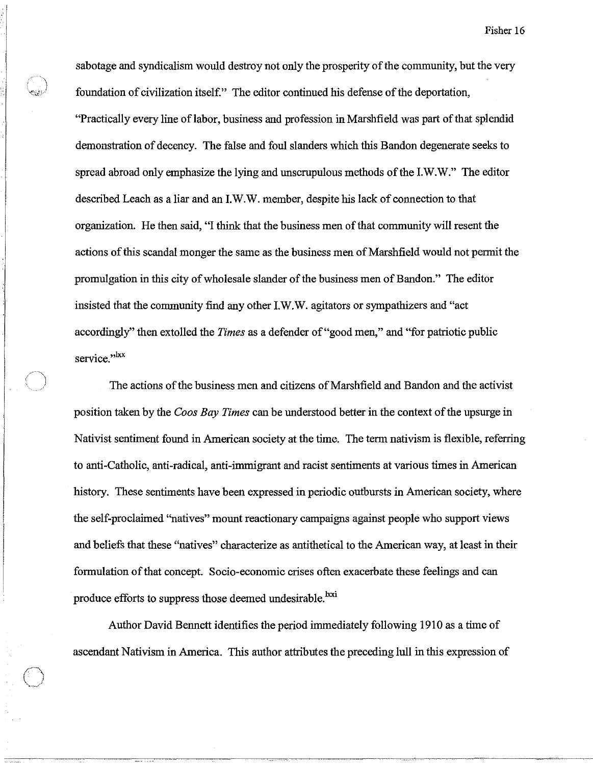sabotage and syndicalism would destroy not only the prosperity of the community, but the very foundation of civilization itself." The editor continued his defense of the deportation, "Practically every line of labor, business and profession in Marshfield was part of that splendid demonstration of decency. The false and foul slanders which this Bandon degenerate seeks to spread abroad only emphasize the lying and unscrupulous methods of the I.W.W." The editor described Leach as a liar and an I.W.W. member, despite his lack of connection to that organization. He then said, "I think that the business men of that community will resent the actions of this scandal monger the same as the business men of Marshfield would not permit the promulgation in this city of wholesale slander of the business men of Bandon." The editor insisted that the community find any other I.W.W. agitators or sympathizers and "act accordingly" then extolled the *Times* as a defender of "good men," and "for patriotic public service."<sup>1xx</sup>

,The actions of the business men and citizens of Marshfield and Bandon and the activist position taken by the *Coos Bay Times* can be understood better in the context of the upsurge in Nativist sentiment found in American society at the time. The term nativism is flexible, referring to anti-Catholic, anti-radical, anti-immigrant and racist sentiments at various times in American history. These sentiments have been expressed in periodic outbursts in American society, where the self-proclaimed "natives" mount reactionary campaigns against people who support views and beliefs that these "natives" characterize as antithetical to the American way, at least in their formulation of that concept. Socio-economic crises often exacerbate these feelings and can produce efforts to suppress those deemed undesirable.<sup>lxxi</sup>

Author David Bennett identifies the period immediately following 1910 as a time of ascendant Nativism in America. This author attributes the preceding lull in this expression of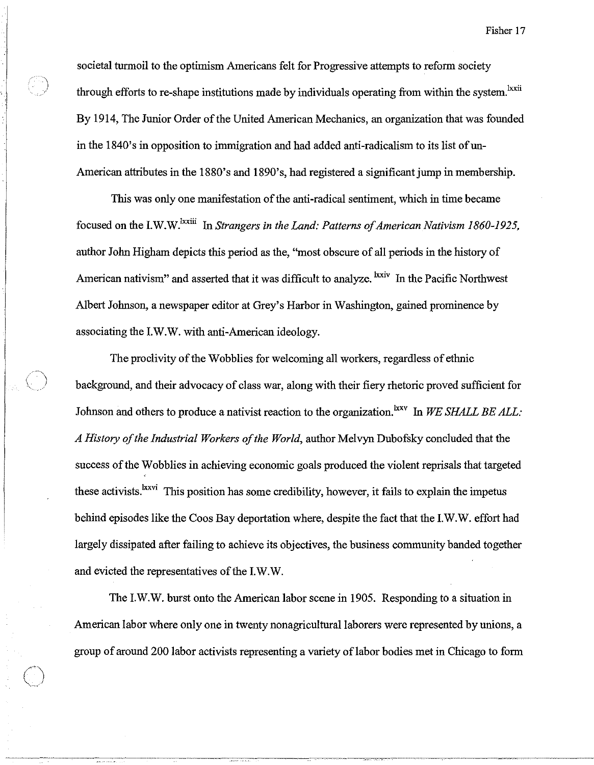societal turmoil to the optimism Americans felt for Progressive attempts to reform society through efforts to re-shape institutions made by individuals operating from within the system.<sup>lxxii</sup> By 1914, The Junior Order of the United American Mechanics, an organization that was founded in the 1840's in opposition to immigration and had added anti-radicalism to its list of un-American attributes in the 1880's and 1890's, had registered a significant jump in membership.

This was only one manifestation of the anti-radical sentiment, which in time became focused on the I.W.W.<sup>1xxiii</sup> In *Strangers in the Land: Patterns of American Nativism 1860-1925*, author John Higham depicts this period as the, "most obscure of all periods in the history of American nativism" and asserted that it was difficult to analyze. <sup>Ixxiv</sup> In the Pacific Northwest Albert Johnson, a newspaper editor at Grey's Harbor in Washington, gained prominence by associating the LW.W. with anti-American ideology.

The proclivity of the Wobblies for welcoming all workers, regardless of ethnic background, and their advocacy of class war, along with their fiery rhetoric proved sufficient for Johnson and others to produce a nativist reaction to the organization.<sup>lxxv</sup> In *WE SHALL BE ALL*: *A History of the Industrial Workers of the World,* author Melvyn Dubofsky concluded that the success of the Wobblies in achieving economic goals produced the violent reprisals that targeted these activists.<sup>1xxvi</sup> This position has some credibility, however, it fails to explain the impetus behind episodes like the Coos Bay deportation where, despite the fact that the LW.W. effort had largely dissipated after failing to achieve its objectives, the business community banded together and evicted the representatives of the LW.W.

The I.W.W. burst onto the American labor scene in 1905. Responding to a situation in American labor where only one in twenty nonagricultural laborers were represented by unions, a group of around 200 labor activists representing a variety of labor bodies met in Chicago to form

 $\bigcirc$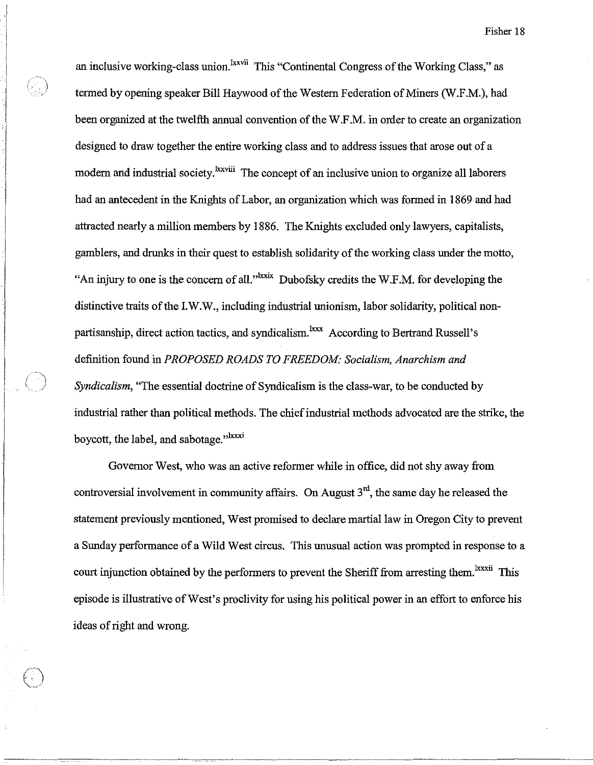an inclusive working-class union.<sup>lxxvii</sup> This "Continental Congress of the Working Class," as tenned by opening speaker Bill Haywood of the Western Federation of Miners (W.F.M.), had been organized at the twelfth annual convention of the W.F.M. in order to create an organization designed to draw together the entire working class and to address issues that arose out of a modern and industrial society.<sup>lxxviii</sup> The concept of an inclusive union to organize all laborers had an antecedent in the Knights of Labor, an organization which was fonned in 1869 and had attracted nearly a million members by 1886. The Knights excluded only lawyers, capitalists, gamblers, and drunks in their quest to establish solidarity of the working class under the motto, "An injury to one is the concern of all."<sup> $lxxix$ </sup> Dubofsky credits the W.F.M. for developing the distinctive traits of the LW.W., including industrial unionism, labor solidarity, political nonpartisanship, direct action tactics, and syndicalism.<sup>1xxx</sup> According to Bertrand Russell's definition found in *PROPOSED ROADS TO FREEDOM: Socialism, Anarchism and Syndicalism*, "The essential doctrine of Syndicalism is the class-war, to be conducted by industrial rather than political methods. The chief industrial methods advocated are the strike, the boycott, the label, and sabotage."<sup>Ixxxi</sup>

Or.<br>C

Governor West, who was an active refonner while in office, did not shy away from controversial involvement in community affairs. On August  $3<sup>rd</sup>$ , the same day he released the statement previously mentioned, West promised to declare martial law in Oregon City to prevent a Sunday perfonnance of a Wild West circus. This unusual action was prompted in response to a court injunction obtained by the performers to prevent the Sheriff from arresting them.<sup>1xxxii</sup> This episode is illustrative of West's proclivity for using his political power in an effort to enforce his ideas of right and wrong.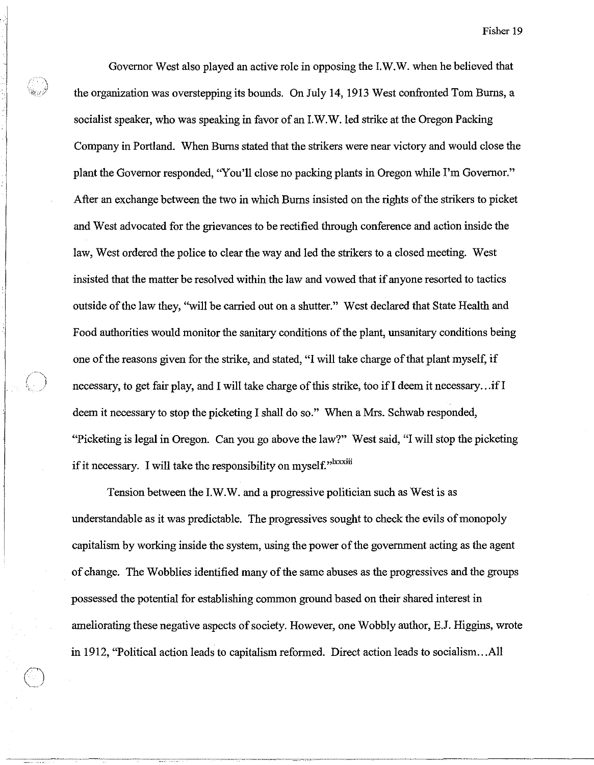Governor West also played an active role in opposing the I.W.W. when he believed that the organization was overstepping its bounds. On July 14, 1913 West confronted Tom Burns, a socialist speaker, who was speaking in favor of an I.W.W. led strike at the Oregon Packing Company in Portland. When Burns stated that the strikers were near victory and would close the plant the Governor responded, "You'll close no packing plants in Oregon while I'm Governor." After an exchange between the two in which Burns insisted on the rights of the strikers to picket and West advocated for the grievances to be rectified through conference and action inside the law, West ordered the police to clear the way and led the strikers to a closed meeting. West insisted that the matter be resolved within the law and vowed that if anyone resorted to tactics outside of the law they, "will be carried out on a shutter." West declared that State Health and Food authorities would monitor the sanitary conditions of the plant, unsanitary conditions being one of the reasons given for the strike, and stated, "I will take charge of that plant myself, if necessary, to get fair play, and I will take charge of this strike, too if I deem it necessary...if I deem it necessary to stop the picketing I shall do so." When a Mrs. Schwab responded, "Picketing is legal in Oregon. Can you go above the law?" West said, "I will stop the picketing if it necessary. I will take the responsibility on myself."<sup>Ixxxiii</sup>

Tension between the I.W.W. and a progressive politician such as West is as understandable as it was predictable. The progressives sought to check the evils of monopoly capitalism by working inside the system, using the power of the government acting as the agent of change. The Wobblies identified many of the same abuses as the progressives and the groups possessed the potential for establishing common ground based on their shared interest in ameliorating these negative aspects of society. However, one Wobbly author, E.J. Higgins, wrote in 1912, "Political action leads to capitalism reformed. Direct action leads to socialism ... All

 $\bigcirc$ 

ang Ka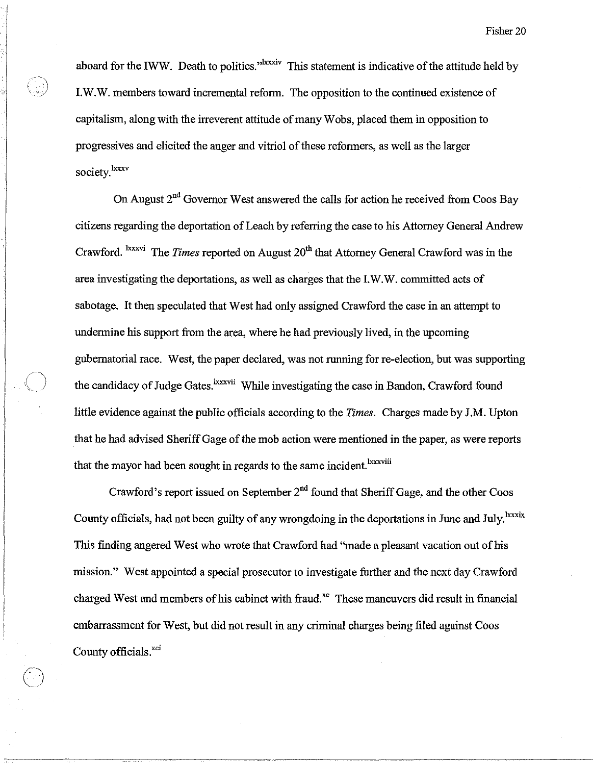aboard for the IWW. Death to politics."<sup>Ixxxiv</sup> This statement is indicative of the attitude held by I.W.W. members toward incremental reform. The opposition to the continued existence of capitalism, along with the irreverent attitude of many Wobs, placed them in opposition to progressives and elicited the anger and vitriol of these reformers, as well as the larger society.<sup>lxxxv</sup>

On August  $2<sup>nd</sup>$  Governor West answered the calls for action he received from Coos Bay citizens regarding the deportation of Leach by referring the case to his Attorney General Andrew Crawford. <sup>Ixxxvi</sup> The *Times* reported on August 20<sup>th</sup> that Attorney General Crawford was in the area investigating the deportations, as well as charges that the I.W.W. committed acts of sabotage. It then speculated that West had only assigned Crawford the case in an attempt to undermine his support from the area, where he had previously lived, in the upcoming gubernatorial race. West, the paper declared, was not running for re-election, but was supporting the candidacy of Judge Gates.<sup>Ixxxvii</sup> While investigating the case in Bandon, Crawford found little evidence against the public officials according to the *Times.* Charges made by J .M. Upton that he had advised Sheriff Gage of the mob action were mentioned in the paper, as were reports that the mayor had been sought in regards to the same incident.<sup>Ixxxviii</sup>

Crawford's report issued on September  $2<sup>nd</sup>$  found that Sheriff Gage, and the other Coos County officials, had not been guilty of any wrongdoing in the deportations in June and July. <sup>Ixxxix</sup> This finding angered West who wrote that Crawford had "made a pleasant vacation out of his mission." West appointed a special prosecutor to investigate further and the next day Crawford charged West and members of his cabinet with fraud.<sup>xc</sup> These maneuvers did result in financial embarrassment for West, but did not result in any criminal charges being filed against Coos County officials.<sup>xci</sup>

 $\bigodot$ 

e<br>Sig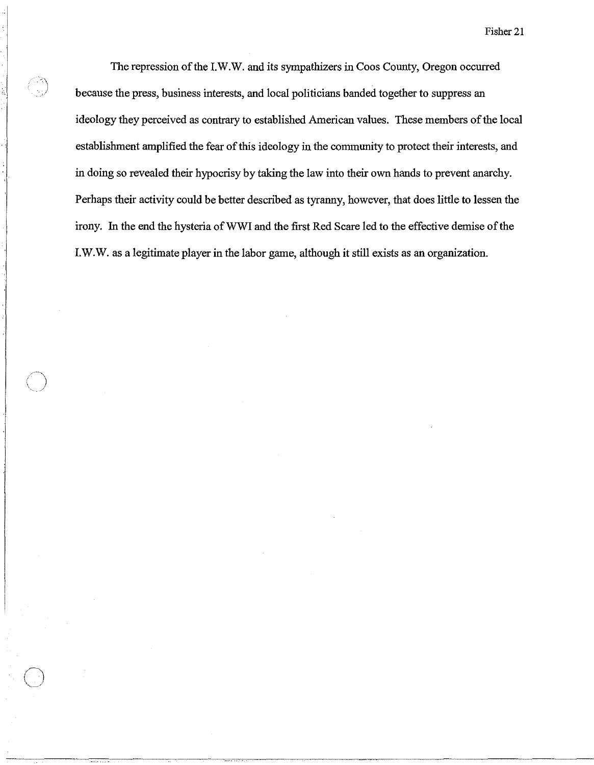The repression of the I.W.W. and its sympathizers in Coos County, Oregon occurred because the press, business interests, and local politicians banded together to suppress an ideology they perceived as contrary to established American values. These members of the local establishment amplified the fear of this ideology in the community to protect their interests, and in doing so revealed their hypocrisy by taking the law into their own hands to prevent anarchy. Perhaps their activity could be better described as tyranny, however, that does little to lessen the irony. **In** the end the hysteria ofWWI and the first Red Scare led to the effective demise of the r.W.W. as a legitimate player in the labor game, although it still exists as an organization.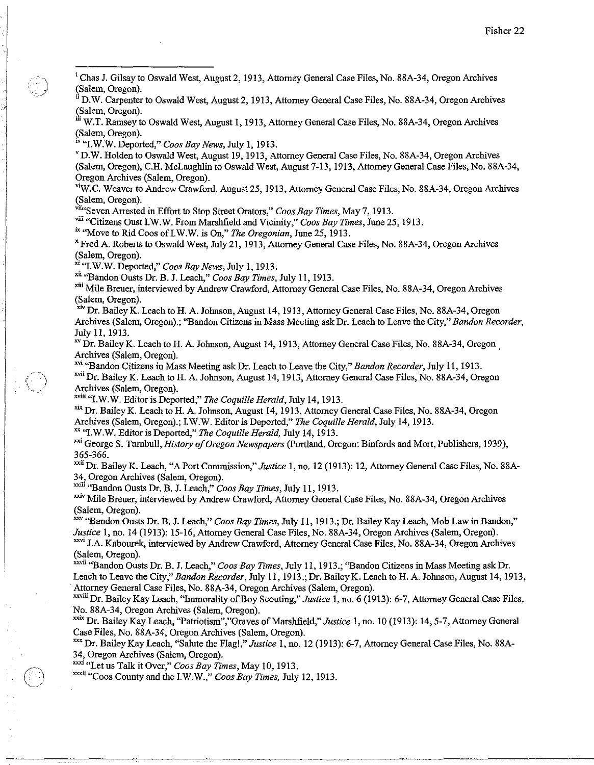i Chas J. Gilsay to Oswald West, August 2, 1913, Attorney General Case Files, No. 88A-34, Oregon Archives (Salem, Oregon).

 $\text{I}^{\text{u}}$  D.W. Carpenter to Oswald West, August 2, 1913, Attorney General Case Files, No. 88A-34, Oregon Archives (Salem, Oregon).

iii W.T. Ramsey to Oswald West, August 1, 1913, Attorney General Case Files, No. 88A-34, Oregon Archives (Salem, Oregon).

iv "I.W.W. Deported," *Coos Bay News,* July 1,1913.

 $\vert$ 

)

 $\bigcirc$ 

v D.W. Holden to Oswald West, August 19, 1913, Attorney General Case Files, No. 88A-34, Oregon Archives

(Salem, Oregon), C.R. McLaughlin to Oswald West, August 7-13,1913, Attorney General Case Files, No. 88A-34, Oregon Archives (Salem, Oregon).

viW.C. Weaver to Andrew Crawford, August 25, 1913, Attorney General Case Files, No. 88A-34, Oregon Archives (Salem, Oregon).

viki Seven Arrested in Effort to Stop Street Orators," *Coos Bay Times*, May 7, 1913.

viii "Citizens Oust LW.W. From Marshfield and Vicinity," *Coos Bay Times,* June 25,1913.

ix "Move to Rid Coos ofLW.W. is On," *The Oregonian,* June 25, 1913.

x Fred A. Roberts to Oswald West, July 21, 1913, Attorney General Case Files, No. 88A-34, Oregon Archives (Salem, Oregon).

xi "I.W.W. Deported," *Coos Bay News,* July 1, 1913.

xii "Bandon Ousts Dr. B. J. Leach," *Coos Bay Times,* July II, 1913.

xui Mile Breuer, interviewed by Andrew Crawford, Attorney General Case Files, No. 88A-34, Oregon Archives (Salem, Oregon).

xiv Dr. Bailey K. Leach to H. A. Johnson, August 14, 1913, Attorney General Case Files, No. 88A-34, Oregon Archives (Salem, Oregon).; "Bandon Citizens in Mass Meeting ask Dr. Leach to Leave the City," *Bandon Recorder,*  July II, 1913.

xv Dr. Bailey K. Leach to H. A. Johnson, August 14, 1913, Attorney General Case Files, No. 88A-34, Oregon Archives (Salem, Oregon). .

xvi "Bandon Citizens in Mass Meeting ask Dr. Leach to Leave the City," *Bandon Recorder,* July II, 1913. xvii Dr. Bailey K. Leach to H. A. Johnson, August 14, 1913, Attorney General Case Files, No. 88A-34, Oregon Archives (Salem, Oregon).

xviii "LW.W. Editor is Deported," *The Coquille Herald,* July 14,1913.

xix Dr. Bailey K. Leach to H. A. Johnson, August 14, 1913, Attorney General Case Files, No. 88A-34, Oregon Archives (Salem, Oregon).; LW.W. Editor is Deported," *The Coquille Herald,* July 14,1913.

xx "LW.W. Editor is Deported," *The Coquille Herald,* July 14,1913.

xxi George S. *Tnmbull,History ojOregon Newspapers* (portland, Oregon: Binfords and Mort, Publishers, 1939), 365-366.

xxii Dr. Bailey K. Leach, "A Port Commission," *Justice* I, no. 12 (1913): 12, Attorney General Case Files, No. 88A-34, Oregon Archives (Salem, Oregon).

xxiu "Bandon Ousts Dr. B. J. Leach," *Coos Bay Times,* July II, 1913.

xxiv Mile Breuer, interviewed by Andrew Crawford, Attorney General Case Files, No. 88A-34, Oregon Archives (Salem, Oregon).

xx"'Bandon Ousts Dr. B. J. Leach," *Coos Bay Times,* July II, 1913.; Dr. Bailey Kay Leach, Mob Law in Bandon," *Justice* I, no. 14 (1913): 15-16, Attorney General Case Files, No. 88A-34, Oregon Archives (Salem, Oregon).

<sup>xxvi</sup> J.A. Kabourek, interviewed by Andrew Crawford, Attorney General Case Files, No. 88A-34, Oregon Archives (Salem, Oregon).

xxvii "Bandon Ousts Dr. B. J. Leach," *Coos Bay Times,* July 11, 1913.; ''Bandon Citizens in Mass Meeting ask Dr. Leach to Leave the City," *Bandon Recorder,* July II, 1913.; Dr. BaileyK. Leach to R. A. Johnson, August 14, 1913, Attorney General Case Files, No. 88A-34, Oregon Archives (Salem, Oregon).

xxviu Dr. Bailey Kay Leach, "Immorality of Boy Scouting," *Justice* I, no. 6 (1913): 6-7, Attorney General Case Files, No. 88A-34, Oregon Archives (Salem, Oregon).

xxix Dr. Bailey Kay Leach, "Patriotism","Graves of Marshfield," *Justice* 1, no. 10 (1913): 14,5-7, Attorney General Case Files, No. 88A-34, Oregon Archives (Salem, Oregon).

xxx Dr. Bailey Kay Leach, "Salute the Flag!," *Justice* I, no. 12 (1913): 6-7, Attorney General Case Files, No. 88A-34, Oregon Archives (Salem, Oregon).

xxxi "Let us Talk it Over," *Coos Bay Times,* May 10, 1913.

xxxii "Coos County and the LW.W.," *Coos Bay Times,* July 12,1913.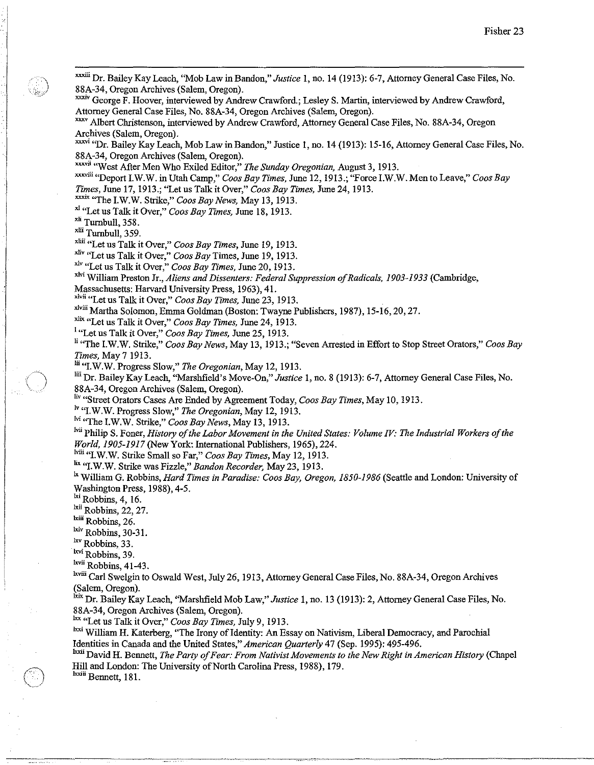xxxiii Dr. Bailey Kay Leach, ''Mob Law in Bandon," *Justice* I, no. 14 (1913): 6-7, Attorney General Case Files, No. 88A-34, Oregon Archives (Salem, Oregon). xxxiv George F. Hoover, interviewed by Andrew Crawford.; Lesley S. Martin, interviewed by Andrew Crawford, Attorney General Case Files, No. 88A-34, Oregon Archives (Salem, Oregon). xxv Albert Christenson, interviewed by Andrew Crawford, Attorney General Case Files, No. 88A-34, Oregon Archives (Salem, Oregon). xxxvi "Dr. Bailey Kay Leach, Mob Law in Bandon," Justice 1, no. 14 (1913): 15-16, Attorney General Case Files, No. 88A-34, Oregon Archives (Salem, Oregon). x,,,,ii "West After Men Who Exiled Editor," The *Sunday Oregonian,* August 3, 1913. xxxviii "Deport I.W.W. in Utah Camp," *Coos Bay Times*, June 12, 1913.; "Force I.W.W. Men to Leave," *Coos Bay Times,* June 17, 1913.; "Let us Talk it Over," *Coos Bay Times,* June 24, 1913. xxxix ''The LW.W. Strike," *Coos Bay News,* May 13, 1913. xl "Let us Talk it Over," *Coos Bay Times,* June 18, 1913. xli Turnbull, 358. xlii Turnbull, 359. **xliii** "Let us Talk it Over," Coos Bay Times, June 19, 1913. xli, "Let us Talk it Over," *Coos Bay* Times, June 19, 1913. xl, "Let us Talk it Over," *Coos Bay Times,* June 20, 1913. <sup>xlvi</sup> William Preston Jr., *Aliens and Dissenters: Federal Suppression of Radicals, 1903-1933* (Cambridge, Massachusetts: Harvard University Press, 1963), 41. <sup>xlvii</sup> "Let us Talk it Over," *Coos Bay Times*, June 23, 1913. x1";ii Martha Solomon, Emma Goldman (Boston: Twayne Publishers, 1987), 15-16,20,27. xlix "Let us Talk it Over," *Coos Bay Times,* June 24, 1913. <sup>I</sup>"Let us Talk it Over," *Coos Bay Times,* June 25, 1913. Ii "The LW.W. Strike," *Coos Bay News,* May 13, 1913.; "Seven Arrested in Effort to Stop Street Orators," *Coos Bay Times,* May 7 1913. Iii "LW.W. Progress Slow," The *Oregonian,* May 12, 1913. liii Dr. Bailey Kay Leach, "Marshfield's Move-On," *Justice* I, no. 8 (1913): 6-7, Attorney General Case Files, No. 88A-34, Oregon Archives (Salem, Oregon). Iiv "Street Orators Cases Are Ended by Agreement Today, *Coos Bay Times*, May 10, 1913. <sup>Iv</sup> "I.W.W. Progress Slow," The Oregonian, May 12, 1913. <sup>Ivi</sup> "The I.W.W. Strike," *Coos Bay News*, May 13, 1913. <sup>Ivii</sup> Philip S. Foner, *History of the Labor Movement in the United States: Volume IV: The Industrial Workers of the World, 1905-1917* (New York: International Publishers, 1965), 224. <sup>Iviii</sup> "LW.W. Strike Small so Far," *Coos Bay Times*, May 12, 1913. lix "I.W.W. Strike was Fizzle," *Bandon Recorder,* May 23, 1913. <sup>1x</sup> William G. Robbins, *Hard Times in Paradise: Coos Bay, Oregon, 1850-1986* (Seattle and London: University of Washington Press, 1988), 4-5. lxi Robbins, 4, 16. <sup>lxii</sup> Robbins, 22, 27. lxiii Robbins, 26. lxiv Robbins, 30-31.  $\frac{hxv}{x}$  Robbins, 33. <sup>lxvi</sup> Robbins, 39. Ixvii Robbins, 41-43. Ixviii Carl Swelgin to Oswald West, July 26, 1913, Attorney General Case Files, No. 88A-34, Oregon Archives (Salem, Oregon). <sup>Ixix</sup> Dr. Bailey Kay Leach, "Marshfield Mob Law," *Justice* 1, no. 13 (1913): 2, Attorney General Case Files, No. 88A-34, Oregon Archives (Salem, Oregon). lxx "Let us Talk it Over," *Coos Bay Times,* July 9,1913. lxxi William H. Katerberg, "The Irony of Identity: An Essay on Nativism, Liberal Democracy, and Parochial Identities in Canada and the United States," *American Quarterly* 47 (Sep. 1995): 495-496.

<sup>1xxii</sup> David H. Bennett, *The Party of Fear: From Nativist Movements to the New Right in American History* (Chapel Hill and London: The University of North Carolina Press, 1988), 179.

<sup>lxxii</sup> Bennett, 181.

O

.1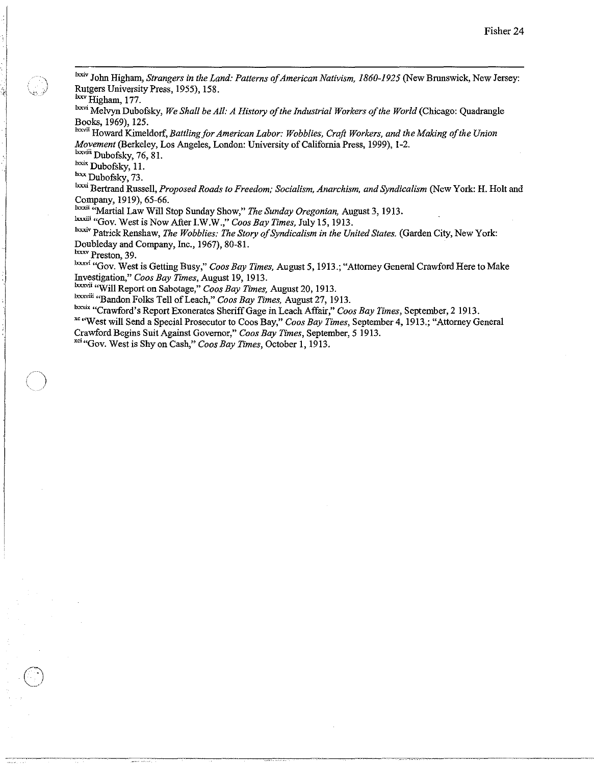<sup>1xxiv</sup> John Higham, *Strangers in the Land: Patterns of American Nativism, 1860-1925* (New Brunswick, New Jersey: Rutgers University Press, 1955), 158.

bxv Higham, 177.

I I

*C)* 

Ixxvi Melvyu Dubofsky, *We Shall be All: A History of the Industrial Workers of the World* (Chicago: Quadrangle Books, 1969), 125.

**Ixxvii** Howard Kimeldorf, *Battling for American Labor: Wobblies, Craft Workers, and the Making of the Union Movement* (Berkeley, Los Angeles, London: University of California Press, 1999), 1-2.

<sup>lxxviii</sup> Dubofsky, 76, 81.

<sup>lxxix</sup> Dubofsky, 11. Ixxx Dubofsky, 73.

Ixxxi Bertrand Russell, *Proposed Roads to Freedom; Socialism, Anarchism, and Syndicalism* (New York: H. Holt and Company, 1919), 65-66.

<sup>1xxxii</sup> "Martial Law Will Stop Sunday Show," *The Sunday Oregonian*, August 3, 1913.

1xxxiii "Gov. West is Now After I.W.W.," *Coos Bay Times,* July 15,1913.

Ixxxiv Patrick Renshaw, *The Wobblies: The Story of Syndicalism in the United States.* (Garden City, New York: Doubleday and Company, Inc., 1967), 80-81.

**Ixxxv Preston, 39.** 

Ixxxvi "Gov. West is Getting Busy," *Coos Bay Times,* August 5, 1913.; "Attorney General Crawford Here to Make Investigation," *Coos Bay Times,* August 19, 1913.

lxxxvii."Will Report on Sabotage," *Coos Bay Times,* August 20, 1913.

Ixxxviii "Bandon Folks Tell of Leach," *Coos Bay Times*, August 27, 1913.

Ixxxix "Crawford's Report Exonerates Sheriff Gage in Leach Affair," *Coos Bay Times*, September, 2 1913.

<sup>xc</sup> "West will Send a Special Prosecutor to Coos Bay," *Coos Bay Times*, September 4, 1913.; "Attorney General Crawford Begins Suit Against Governor," *Coos Bay Times,* September, 5 1913.

"""Gov. West is Shy on Cash," *Coos Bay Times,* October **I,** 1913.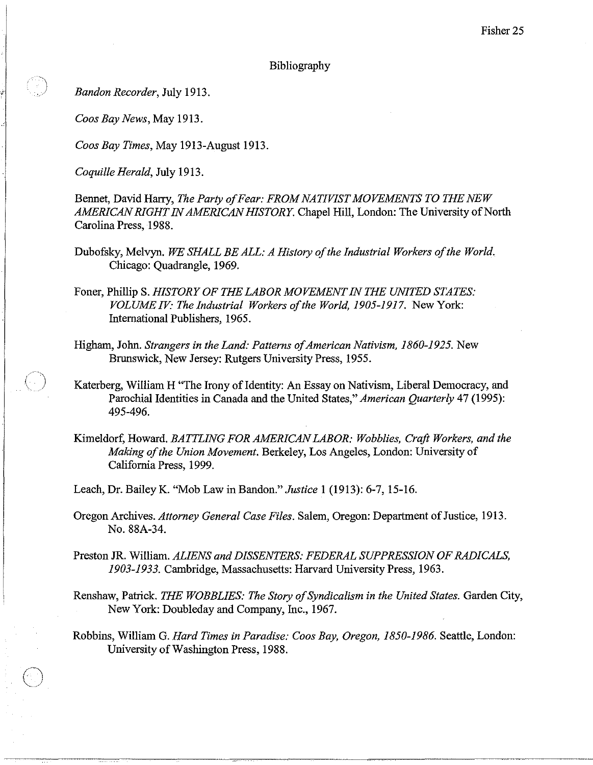## Bibliography

*Bandon Recorder,* July 1913.

 $\big)$ 

C)

*Coos Bay News,* May 1913.

*Coos Bay Times,* May 1913-August 1913.

*Coquille Herald,* July 1913.

Bennet, David Harry, *The Party of Fear: FROM NATIVIST MOVEMENTS TO THE NEW AMERICAN RIGHT IN AMERICAN HISTORY.* Chapel Hill, London: The University of North Carolina Press, 1988.

Dubofsky, Melvyn. *WE SHALL BE ALL: A History of the Industrial Workers of the World.*  Chicago: Quadrangle, 1969.

Foner, Phillip S. *HISTORY OF THE LABOR MOVEMENT IN THE UNITED STATES: VOLUME IV' The Industrial Workers of the World, 1905-1917.* New York: International Publishers, 1965.

Higham, John. *Strangers in the Land: Patterns of American Nativism, 1860-1925.* New Brunswick, New Jersey: Rutgers University Press, 1955.

Katerberg, William H "The Irony of Identity: An Essay on Nativism, Liberal Democracy, and Parochial Identities in Canada and the United States," *American Quarterly* 47 (1995): 495-496.

Kimeldorf, Howard. *BATTLING FOR AMERICAN LABOR: Wobblies, Craft Workers, and the Making of the Union Movement.* Berkeley, Los Angeles, London: University of California Press, 1999.

Leach, Dr. Bailey K. "Mob Law in Bandon." *Justice* 1 (1913): 6-7, 15-16.

Oregon Archives. *Attorney General Case Files.* Salem, Oregon: Department of Justice, 1913. No. 88A-34.

Preston JR. William. *ALIENS and DISSENTERS: FEDERAL SUPPRESSION OF RADICALS, 1903-1933.* Cambridge, Massachusetts: Harvard University Press, 1963.

Renshaw, Patrick. *THE WOBBLIES: The Story of Syndicalism in the United States.* Garden City, New York: Doubleday and Company, Inc., 1967.

Robbins, William G. *Hard Times in Paradise: Coos Bay, Oregon, 1850-1986.* Seattle, London: University of Washington Press, 1988.